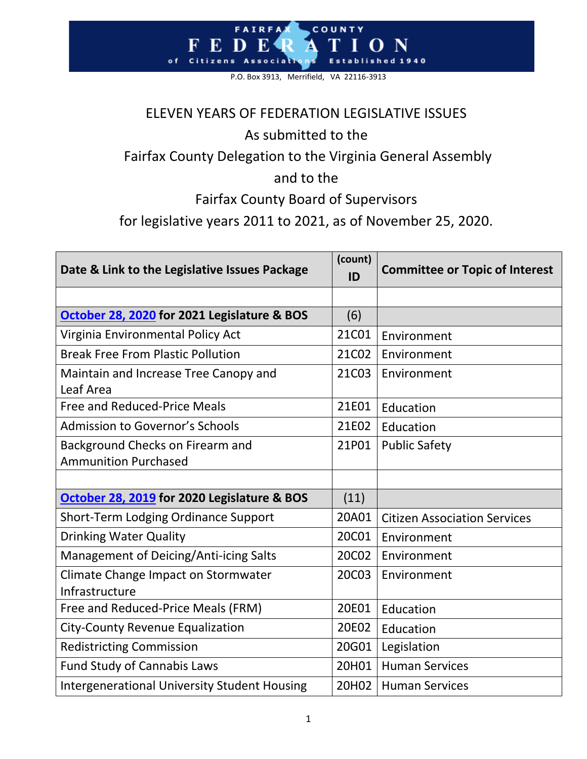P.O. Box 3913, Merrifield, VA 22116-3913

E.

F

o f

COUNTY

N

1940

#### ELEVEN YEARS OF FEDERATION LEGISLATIVE ISSUES

As submitted to the

Fairfax County Delegation to the Virginia General Assembly

#### and to the

#### Fairfax County Board of Supervisors

for legislative years 2011 to 2021, as of November 25, 2020.

|                                                     | (count) |                                       |
|-----------------------------------------------------|---------|---------------------------------------|
| Date & Link to the Legislative Issues Package       | ID      | <b>Committee or Topic of Interest</b> |
|                                                     |         |                                       |
| October 28, 2020 for 2021 Legislature & BOS         | (6)     |                                       |
| Virginia Environmental Policy Act                   | 21C01   | Environment                           |
| <b>Break Free From Plastic Pollution</b>            | 21C02   | Environment                           |
| Maintain and Increase Tree Canopy and               | 21C03   | Environment                           |
| Leaf Area                                           |         |                                       |
| Free and Reduced-Price Meals                        | 21E01   | Education                             |
| <b>Admission to Governor's Schools</b>              | 21E02   | Education                             |
| Background Checks on Firearm and                    | 21P01   | <b>Public Safety</b>                  |
| <b>Ammunition Purchased</b>                         |         |                                       |
|                                                     |         |                                       |
| October 28, 2019 for 2020 Legislature & BOS         | (11)    |                                       |
| Short-Term Lodging Ordinance Support                | 20A01   | <b>Citizen Association Services</b>   |
| <b>Drinking Water Quality</b>                       | 20C01   | Environment                           |
| Management of Deicing/Anti-icing Salts              | 20C02   | Environment                           |
| Climate Change Impact on Stormwater                 | 20C03   | Environment                           |
| Infrastructure                                      |         |                                       |
| Free and Reduced-Price Meals (FRM)                  | 20E01   | Education                             |
| City-County Revenue Equalization                    | 20E02   | Education                             |
| <b>Redistricting Commission</b>                     | 20G01   | Legislation                           |
| <b>Fund Study of Cannabis Laws</b>                  | 20H01   | <b>Human Services</b>                 |
| <b>Intergenerational University Student Housing</b> | 20H02   | <b>Human Services</b>                 |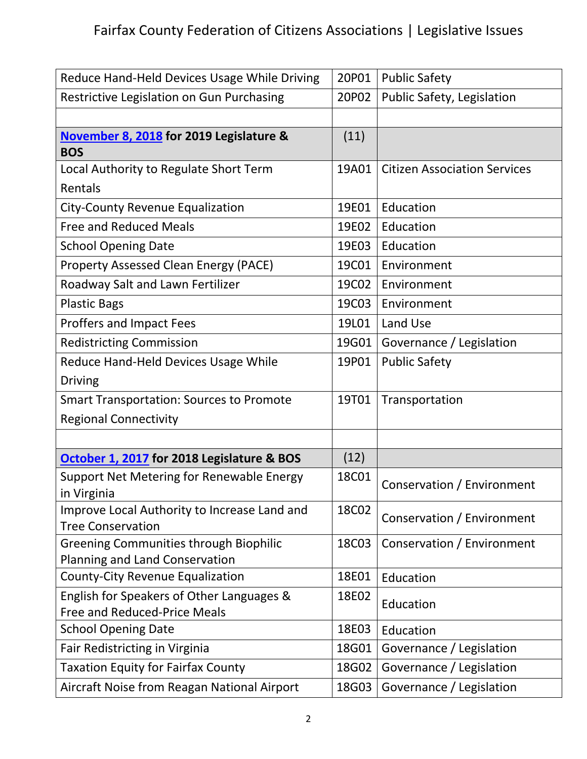| Reduce Hand-Held Devices Usage While Driving                              | 20P01 | <b>Public Safety</b>                |
|---------------------------------------------------------------------------|-------|-------------------------------------|
| Restrictive Legislation on Gun Purchasing                                 | 20P02 | Public Safety, Legislation          |
|                                                                           |       |                                     |
| November 8, 2018 for 2019 Legislature &                                   | (11)  |                                     |
| <b>BOS</b>                                                                |       |                                     |
| Local Authority to Regulate Short Term                                    | 19A01 | <b>Citizen Association Services</b> |
| Rentals                                                                   |       |                                     |
| <b>City-County Revenue Equalization</b>                                   | 19E01 | Education                           |
| <b>Free and Reduced Meals</b>                                             | 19E02 | Education                           |
| <b>School Opening Date</b>                                                | 19E03 | Education                           |
| Property Assessed Clean Energy (PACE)                                     | 19C01 | Environment                         |
| Roadway Salt and Lawn Fertilizer                                          | 19C02 | Environment                         |
| <b>Plastic Bags</b>                                                       | 19C03 | Environment                         |
| Proffers and Impact Fees                                                  | 19L01 | Land Use                            |
| <b>Redistricting Commission</b>                                           | 19G01 | Governance / Legislation            |
| Reduce Hand-Held Devices Usage While                                      | 19P01 | <b>Public Safety</b>                |
| <b>Driving</b>                                                            |       |                                     |
| <b>Smart Transportation: Sources to Promote</b>                           | 19T01 | Transportation                      |
| <b>Regional Connectivity</b>                                              |       |                                     |
|                                                                           |       |                                     |
| October 1, 2017 for 2018 Legislature & BOS                                | (12)  |                                     |
| <b>Support Net Metering for Renewable Energy</b><br>in Virginia           | 18C01 | <b>Conservation / Environment</b>   |
| Improve Local Authority to Increase Land and<br><b>Tree Conservation</b>  | 18C02 | Conservation / Environment          |
| <b>Greening Communities through Biophilic</b>                             | 18C03 | <b>Conservation / Environment</b>   |
| Planning and Land Conservation                                            |       |                                     |
| County-City Revenue Equalization                                          | 18E01 | Education                           |
| English for Speakers of Other Languages &<br>Free and Reduced-Price Meals | 18E02 | Education                           |
| <b>School Opening Date</b>                                                | 18E03 | Education                           |
| Fair Redistricting in Virginia                                            | 18G01 | Governance / Legislation            |
| <b>Taxation Equity for Fairfax County</b>                                 | 18G02 | Governance / Legislation            |
| Aircraft Noise from Reagan National Airport                               | 18G03 | Governance / Legislation            |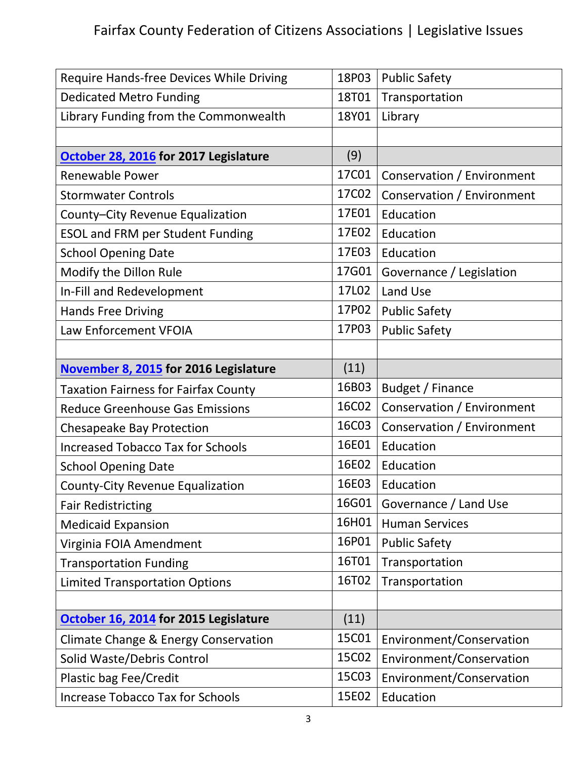| Require Hands-free Devices While Driving    | 18P03 | <b>Public Safety</b>       |
|---------------------------------------------|-------|----------------------------|
| <b>Dedicated Metro Funding</b>              | 18T01 | Transportation             |
| Library Funding from the Commonwealth       | 18Y01 | Library                    |
|                                             |       |                            |
| October 28, 2016 for 2017 Legislature       | (9)   |                            |
| <b>Renewable Power</b>                      | 17C01 | Conservation / Environment |
| <b>Stormwater Controls</b>                  | 17C02 | Conservation / Environment |
| County-City Revenue Equalization            | 17E01 | Education                  |
| <b>ESOL and FRM per Student Funding</b>     | 17E02 | Education                  |
| <b>School Opening Date</b>                  | 17E03 | Education                  |
| Modify the Dillon Rule                      | 17G01 | Governance / Legislation   |
| In-Fill and Redevelopment                   | 17L02 | <b>Land Use</b>            |
| <b>Hands Free Driving</b>                   | 17P02 | <b>Public Safety</b>       |
| Law Enforcement VFOIA                       | 17P03 | <b>Public Safety</b>       |
|                                             |       |                            |
| November 8, 2015 for 2016 Legislature       | (11)  |                            |
| <b>Taxation Fairness for Fairfax County</b> | 16B03 | Budget / Finance           |
| <b>Reduce Greenhouse Gas Emissions</b>      | 16C02 | Conservation / Environment |
| <b>Chesapeake Bay Protection</b>            | 16C03 | Conservation / Environment |
| <b>Increased Tobacco Tax for Schools</b>    | 16E01 | Education                  |
| <b>School Opening Date</b>                  | 16E02 | Education                  |
| <b>County-City Revenue Equalization</b>     | 16E03 | Education                  |
| <b>Fair Redistricting</b>                   | 16G01 | Governance / Land Use      |
| <b>Medicaid Expansion</b>                   | 16H01 | <b>Human Services</b>      |
| Virginia FOIA Amendment                     | 16P01 | <b>Public Safety</b>       |
| <b>Transportation Funding</b>               | 16T01 | Transportation             |
| <b>Limited Transportation Options</b>       | 16T02 | Transportation             |
|                                             |       |                            |
| October 16, 2014 for 2015 Legislature       | (11)  |                            |
| Climate Change & Energy Conservation        | 15C01 | Environment/Conservation   |
| Solid Waste/Debris Control                  | 15C02 | Environment/Conservation   |
| Plastic bag Fee/Credit                      | 15C03 | Environment/Conservation   |
| <b>Increase Tobacco Tax for Schools</b>     | 15E02 | Education                  |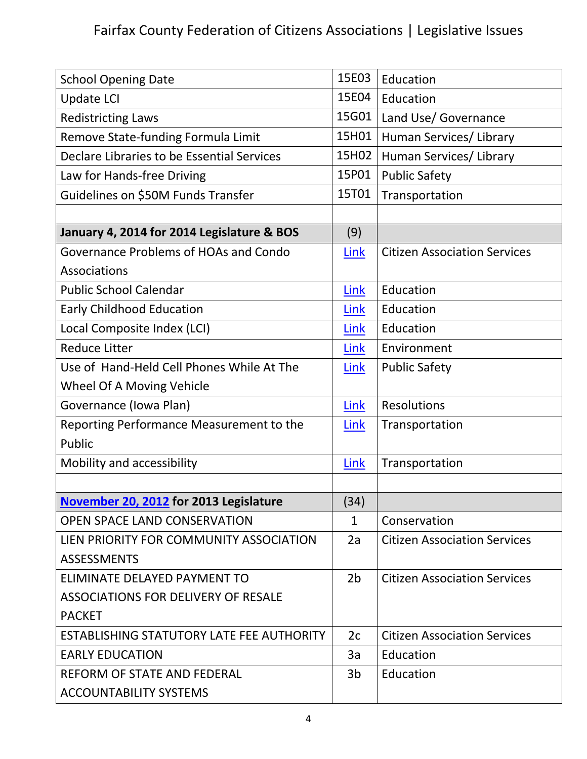| <b>School Opening Date</b>                 | 15E03          | Education                           |
|--------------------------------------------|----------------|-------------------------------------|
| <b>Update LCI</b>                          | 15E04          | Education                           |
| <b>Redistricting Laws</b>                  | 15G01          | Land Use/ Governance                |
| Remove State-funding Formula Limit         | 15H01          | Human Services/ Library             |
| Declare Libraries to be Essential Services | 15H02          | Human Services/ Library             |
| Law for Hands-free Driving                 | 15P01          | <b>Public Safety</b>                |
| Guidelines on \$50M Funds Transfer         | 15T01          | Transportation                      |
|                                            |                |                                     |
| January 4, 2014 for 2014 Legislature & BOS | (9)            |                                     |
| Governance Problems of HOAs and Condo      | Link           | <b>Citizen Association Services</b> |
| Associations                               |                |                                     |
| <b>Public School Calendar</b>              | <b>Link</b>    | Education                           |
| <b>Early Childhood Education</b>           | Link           | Education                           |
| Local Composite Index (LCI)                | Link           | Education                           |
| <b>Reduce Litter</b>                       | Link           | Environment                         |
| Use of Hand-Held Cell Phones While At The  | Link           | <b>Public Safety</b>                |
| Wheel Of A Moving Vehicle                  |                |                                     |
| Governance (Iowa Plan)                     | <b>Link</b>    | <b>Resolutions</b>                  |
| Reporting Performance Measurement to the   | Link           | Transportation                      |
| Public                                     |                |                                     |
| Mobility and accessibility                 | Link           | Transportation                      |
|                                            |                |                                     |
| November 20, 2012 for 2013 Legislature     | (34)           |                                     |
| <b>OPEN SPACE LAND CONSERVATION</b>        | 1              | Conservation                        |
| LIEN PRIORITY FOR COMMUNITY ASSOCIATION    | 2a             | <b>Citizen Association Services</b> |
| <b>ASSESSMENTS</b>                         |                |                                     |
| ELIMINATE DELAYED PAYMENT TO               | 2 <sub>b</sub> | <b>Citizen Association Services</b> |
| <b>ASSOCIATIONS FOR DELIVERY OF RESALE</b> |                |                                     |
| <b>PACKET</b>                              |                |                                     |
| ESTABLISHING STATUTORY LATE FEE AUTHORITY  | 2c             | <b>Citizen Association Services</b> |
| <b>EARLY EDUCATION</b>                     | 3a             | Education                           |
| <b>REFORM OF STATE AND FEDERAL</b>         | 3b             | Education                           |
| <b>ACCOUNTABILITY SYSTEMS</b>              |                |                                     |
|                                            |                |                                     |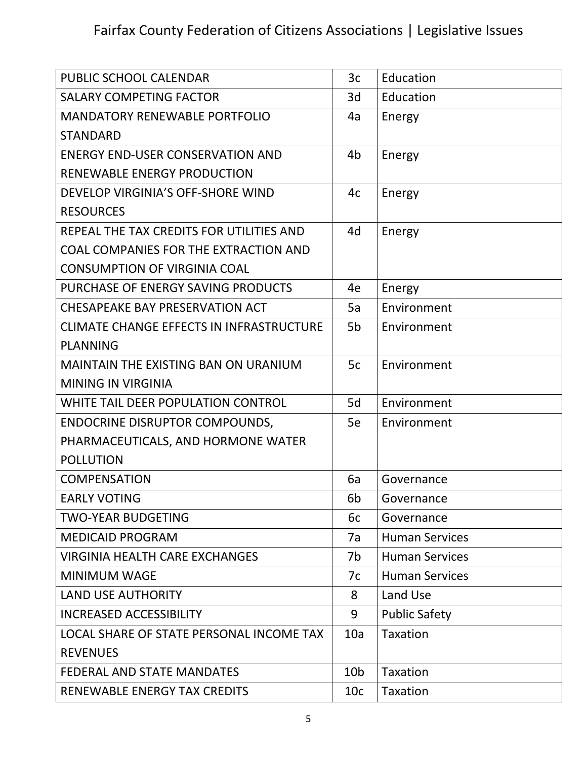| PUBLIC SCHOOL CALENDAR                          | 3c              | Education             |
|-------------------------------------------------|-----------------|-----------------------|
| <b>SALARY COMPETING FACTOR</b>                  | 3d              | Education             |
| <b>MANDATORY RENEWABLE PORTFOLIO</b>            | 4a              | Energy                |
| <b>STANDARD</b>                                 |                 |                       |
| <b>ENERGY END-USER CONSERVATION AND</b>         | 4b              | Energy                |
| <b>RENEWABLE ENERGY PRODUCTION</b>              |                 |                       |
| DEVELOP VIRGINIA'S OFF-SHORE WIND               | 4c              | Energy                |
| <b>RESOURCES</b>                                |                 |                       |
| REPEAL THE TAX CREDITS FOR UTILITIES AND        | 4d              | Energy                |
| COAL COMPANIES FOR THE EXTRACTION AND           |                 |                       |
| <b>CONSUMPTION OF VIRGINIA COAL</b>             |                 |                       |
| PURCHASE OF ENERGY SAVING PRODUCTS              | 4e              | Energy                |
| CHESAPEAKE BAY PRESERVATION ACT                 | 5a              | Environment           |
| <b>CLIMATE CHANGE EFFECTS IN INFRASTRUCTURE</b> | 5b              | Environment           |
| <b>PLANNING</b>                                 |                 |                       |
| <b>MAINTAIN THE EXISTING BAN ON URANIUM</b>     | 5c              | Environment           |
| <b>MINING IN VIRGINIA</b>                       |                 |                       |
| WHITE TAIL DEER POPULATION CONTROL              | 5d              | Environment           |
| <b>ENDOCRINE DISRUPTOR COMPOUNDS,</b>           | 5e              | Environment           |
| PHARMACEUTICALS, AND HORMONE WATER              |                 |                       |
| <b>POLLUTION</b>                                |                 |                       |
| <b>COMPENSATION</b>                             | 6a              | Governance            |
| <b>EARLY VOTING</b>                             | 6b              | Governance            |
| <b>TWO-YEAR BUDGETING</b>                       | 6c              | Governance            |
| <b>MEDICAID PROGRAM</b>                         | 7a              | <b>Human Services</b> |
| <b>VIRGINIA HEALTH CARE EXCHANGES</b>           | 7b              | <b>Human Services</b> |
| <b>MINIMUM WAGE</b>                             | 7c              | <b>Human Services</b> |
| <b>LAND USE AUTHORITY</b>                       | 8               | Land Use              |
| <b>INCREASED ACCESSIBILITY</b>                  | 9               | <b>Public Safety</b>  |
| LOCAL SHARE OF STATE PERSONAL INCOME TAX        | 10a             | <b>Taxation</b>       |
| <b>REVENUES</b>                                 |                 |                       |
| <b>FEDERAL AND STATE MANDATES</b>               | 10 <sub>b</sub> | <b>Taxation</b>       |
| RENEWABLE ENERGY TAX CREDITS                    | 10 <sub>c</sub> | Taxation              |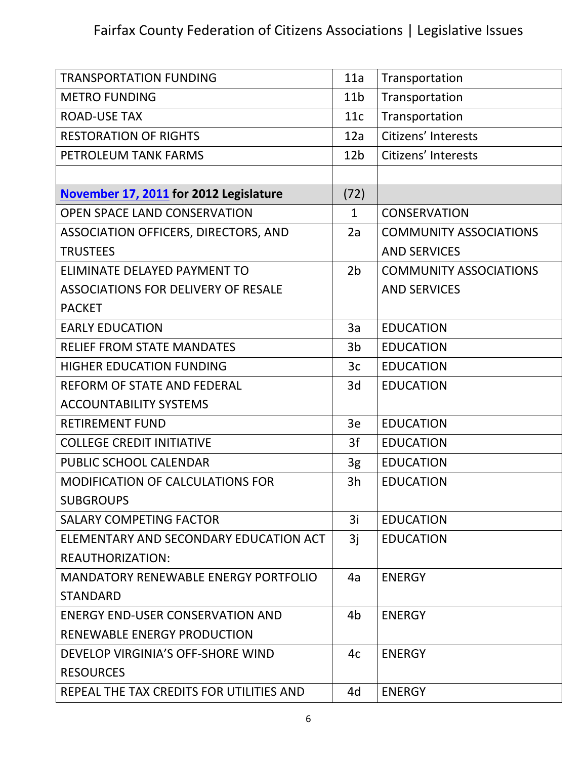| <b>TRANSPORTATION FUNDING</b>               | 11a             | Transportation                |
|---------------------------------------------|-----------------|-------------------------------|
| <b>METRO FUNDING</b>                        | 11 <sub>b</sub> | Transportation                |
| <b>ROAD-USE TAX</b>                         | 11c             | Transportation                |
| <b>RESTORATION OF RIGHTS</b>                | 12a             | Citizens' Interests           |
| PETROLEUM TANK FARMS                        | 12 <sub>b</sub> | Citizens' Interests           |
|                                             |                 |                               |
| November 17, 2011 for 2012 Legislature      | (72)            |                               |
| <b>OPEN SPACE LAND CONSERVATION</b>         | $\mathbf{1}$    | <b>CONSERVATION</b>           |
| ASSOCIATION OFFICERS, DIRECTORS, AND        | 2a              | <b>COMMUNITY ASSOCIATIONS</b> |
| <b>TRUSTEES</b>                             |                 | <b>AND SERVICES</b>           |
| ELIMINATE DELAYED PAYMENT TO                | 2 <sub>b</sub>  | <b>COMMUNITY ASSOCIATIONS</b> |
| <b>ASSOCIATIONS FOR DELIVERY OF RESALE</b>  |                 | <b>AND SERVICES</b>           |
| <b>PACKET</b>                               |                 |                               |
| <b>EARLY EDUCATION</b>                      | 3a              | <b>EDUCATION</b>              |
| <b>RELIEF FROM STATE MANDATES</b>           | 3b              | <b>EDUCATION</b>              |
| <b>HIGHER EDUCATION FUNDING</b>             | 3c              | <b>EDUCATION</b>              |
| REFORM OF STATE AND FEDERAL                 | 3d              | <b>EDUCATION</b>              |
| <b>ACCOUNTABILITY SYSTEMS</b>               |                 |                               |
| <b>RETIREMENT FUND</b>                      | 3e              | <b>EDUCATION</b>              |
| <b>COLLEGE CREDIT INITIATIVE</b>            | 3f              | <b>EDUCATION</b>              |
| PUBLIC SCHOOL CALENDAR                      | 3g              | <b>EDUCATION</b>              |
| <b>MODIFICATION OF CALCULATIONS FOR</b>     | 3h              | <b>EDUCATION</b>              |
| <b>SUBGROUPS</b>                            |                 |                               |
| <b>SALARY COMPETING FACTOR</b>              | 3i              | <b>EDUCATION</b>              |
| ELEMENTARY AND SECONDARY EDUCATION ACT      | 3j              | <b>EDUCATION</b>              |
| <b>REAUTHORIZATION:</b>                     |                 |                               |
| <b>MANDATORY RENEWABLE ENERGY PORTFOLIO</b> | 4a              | <b>ENERGY</b>                 |
| <b>STANDARD</b>                             |                 |                               |
| ENERGY END-USER CONSERVATION AND            | 4b              | <b>ENERGY</b>                 |
| RENEWABLE ENERGY PRODUCTION                 |                 |                               |
| DEVELOP VIRGINIA'S OFF-SHORE WIND           | 4c              | <b>ENERGY</b>                 |
| <b>RESOURCES</b>                            |                 |                               |
| REPEAL THE TAX CREDITS FOR UTILITIES AND    | 4d              | <b>ENERGY</b>                 |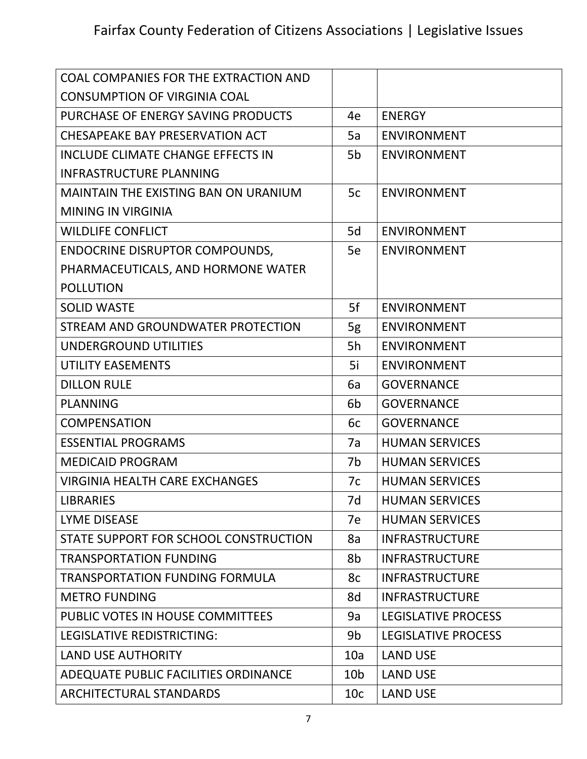| COAL COMPANIES FOR THE EXTRACTION AND       |                 |                            |
|---------------------------------------------|-----------------|----------------------------|
| <b>CONSUMPTION OF VIRGINIA COAL</b>         |                 |                            |
| PURCHASE OF ENERGY SAVING PRODUCTS          | 4e              | <b>ENERGY</b>              |
| CHESAPEAKE BAY PRESERVATION ACT             | 5a              | <b>ENVIRONMENT</b>         |
| <b>INCLUDE CLIMATE CHANGE EFFECTS IN</b>    | 5b              | <b>ENVIRONMENT</b>         |
| <b>INFRASTRUCTURE PLANNING</b>              |                 |                            |
| <b>MAINTAIN THE EXISTING BAN ON URANIUM</b> | 5c              | <b>ENVIRONMENT</b>         |
| <b>MINING IN VIRGINIA</b>                   |                 |                            |
| <b>WILDLIFE CONFLICT</b>                    | 5d              | <b>ENVIRONMENT</b>         |
| <b>ENDOCRINE DISRUPTOR COMPOUNDS,</b>       | 5e              | <b>ENVIRONMENT</b>         |
| PHARMACEUTICALS, AND HORMONE WATER          |                 |                            |
| <b>POLLUTION</b>                            |                 |                            |
| <b>SOLID WASTE</b>                          | 5f              | <b>ENVIRONMENT</b>         |
| STREAM AND GROUNDWATER PROTECTION           | 5g              | <b>ENVIRONMENT</b>         |
| UNDERGROUND UTILITIES                       | 5h              | <b>ENVIRONMENT</b>         |
| <b>UTILITY EASEMENTS</b>                    | 5i              | <b>ENVIRONMENT</b>         |
| <b>DILLON RULE</b>                          | 6a              | <b>GOVERNANCE</b>          |
| <b>PLANNING</b>                             | 6b              | <b>GOVERNANCE</b>          |
| <b>COMPENSATION</b>                         | 6c              | <b>GOVERNANCE</b>          |
| <b>ESSENTIAL PROGRAMS</b>                   | 7a              | <b>HUMAN SERVICES</b>      |
| <b>MEDICAID PROGRAM</b>                     | 7b              | <b>HUMAN SERVICES</b>      |
| <b>VIRGINIA HEALTH CARE EXCHANGES</b>       | 7c              | <b>HUMAN SERVICES</b>      |
| <b>LIBRARIES</b>                            | 7d              | <b>HUMAN SERVICES</b>      |
| <b>LYME DISEASE</b>                         | 7e              | <b>HUMAN SERVICES</b>      |
| STATE SUPPORT FOR SCHOOL CONSTRUCTION       | 8a              | <b>INFRASTRUCTURE</b>      |
| <b>TRANSPORTATION FUNDING</b>               | 8b              | <b>INFRASTRUCTURE</b>      |
| <b>TRANSPORTATION FUNDING FORMULA</b>       | 8c              | <b>INFRASTRUCTURE</b>      |
| <b>METRO FUNDING</b>                        | 8d              | <b>INFRASTRUCTURE</b>      |
| PUBLIC VOTES IN HOUSE COMMITTEES            | 9a              | <b>LEGISLATIVE PROCESS</b> |
| LEGISLATIVE REDISTRICTING:                  | 9b              | <b>LEGISLATIVE PROCESS</b> |
| <b>LAND USE AUTHORITY</b>                   | 10a             | <b>LAND USE</b>            |
| ADEQUATE PUBLIC FACILITIES ORDINANCE        | 10 <sub>b</sub> | <b>LAND USE</b>            |
| ARCHITECTURAL STANDARDS                     | 10 <sub>c</sub> | <b>LAND USE</b>            |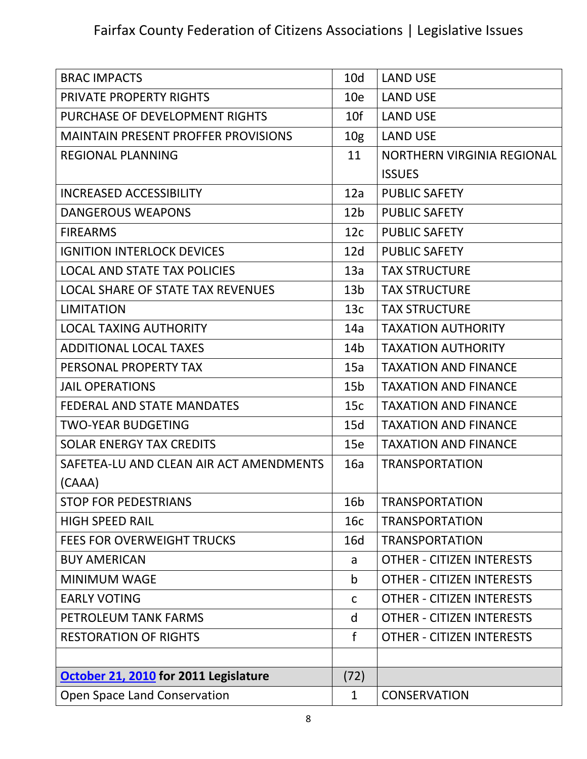| <b>BRAC IMPACTS</b>                        | 10 <sub>d</sub> | <b>LAND USE</b>                  |
|--------------------------------------------|-----------------|----------------------------------|
| <b>PRIVATE PROPERTY RIGHTS</b>             | 10e             | <b>LAND USE</b>                  |
| PURCHASE OF DEVELOPMENT RIGHTS             | 10f             | <b>LAND USE</b>                  |
| <b>MAINTAIN PRESENT PROFFER PROVISIONS</b> | 10 <sub>g</sub> | <b>LAND USE</b>                  |
| <b>REGIONAL PLANNING</b>                   | 11              | NORTHERN VIRGINIA REGIONAL       |
|                                            |                 | <b>ISSUES</b>                    |
| <b>INCREASED ACCESSIBILITY</b>             | 12a             | <b>PUBLIC SAFETY</b>             |
| <b>DANGEROUS WEAPONS</b>                   | 12 <sub>b</sub> | <b>PUBLIC SAFETY</b>             |
| <b>FIREARMS</b>                            | 12 <sub>c</sub> | <b>PUBLIC SAFETY</b>             |
| <b>IGNITION INTERLOCK DEVICES</b>          | 12d             | <b>PUBLIC SAFETY</b>             |
| <b>LOCAL AND STATE TAX POLICIES</b>        | 13a             | <b>TAX STRUCTURE</b>             |
| <b>LOCAL SHARE OF STATE TAX REVENUES</b>   | 13 <sub>b</sub> | <b>TAX STRUCTURE</b>             |
| <b>LIMITATION</b>                          | 13 <sub>c</sub> | <b>TAX STRUCTURE</b>             |
| <b>LOCAL TAXING AUTHORITY</b>              | 14a             | <b>TAXATION AUTHORITY</b>        |
| <b>ADDITIONAL LOCAL TAXES</b>              | 14 <sub>b</sub> | <b>TAXATION AUTHORITY</b>        |
| PERSONAL PROPERTY TAX                      | 15a             | <b>TAXATION AND FINANCE</b>      |
| <b>JAIL OPERATIONS</b>                     | 15 <sub>b</sub> | <b>TAXATION AND FINANCE</b>      |
| <b>FEDERAL AND STATE MANDATES</b>          | 15c             | <b>TAXATION AND FINANCE</b>      |
| <b>TWO-YEAR BUDGETING</b>                  | 15d             | <b>TAXATION AND FINANCE</b>      |
| <b>SOLAR ENERGY TAX CREDITS</b>            | 15e             | <b>TAXATION AND FINANCE</b>      |
| SAFETEA-LU AND CLEAN AIR ACT AMENDMENTS    | 16a             | <b>TRANSPORTATION</b>            |
| (CAAA)                                     |                 |                                  |
| <b>STOP FOR PEDESTRIANS</b>                | 16b             | <b>TRANSPORTATION</b>            |
| <b>HIGH SPEED RAIL</b>                     | 16c             | <b>TRANSPORTATION</b>            |
| <b>FEES FOR OVERWEIGHT TRUCKS</b>          | 16d             | <b>TRANSPORTATION</b>            |
| <b>BUY AMERICAN</b>                        | a               | <b>OTHER - CITIZEN INTERESTS</b> |
| <b>MINIMUM WAGE</b>                        | b               | <b>OTHER - CITIZEN INTERESTS</b> |
| <b>EARLY VOTING</b>                        | $\mathsf{C}$    | <b>OTHER - CITIZEN INTERESTS</b> |
| PETROLEUM TANK FARMS                       | d               | <b>OTHER - CITIZEN INTERESTS</b> |
| <b>RESTORATION OF RIGHTS</b>               | $\mathsf{f}$    | <b>OTHER - CITIZEN INTERESTS</b> |
|                                            |                 |                                  |
| October 21, 2010 for 2011 Legislature      | (72)            |                                  |
| Open Space Land Conservation               | $\mathbf 1$     | <b>CONSERVATION</b>              |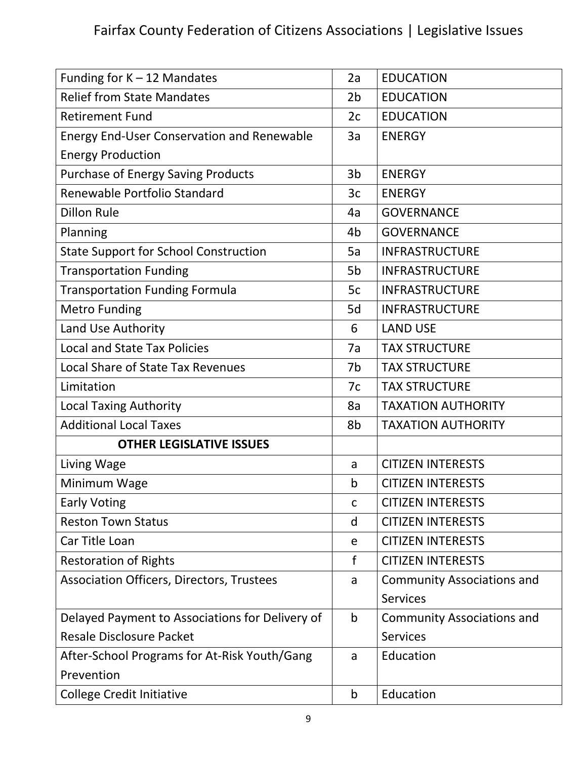| Funding for $K - 12$ Mandates                     | 2a             | <b>EDUCATION</b>                  |
|---------------------------------------------------|----------------|-----------------------------------|
| <b>Relief from State Mandates</b>                 | 2 <sub>b</sub> | <b>EDUCATION</b>                  |
| <b>Retirement Fund</b>                            | 2c             | <b>EDUCATION</b>                  |
| <b>Energy End-User Conservation and Renewable</b> | 3a             | <b>ENERGY</b>                     |
| <b>Energy Production</b>                          |                |                                   |
| <b>Purchase of Energy Saving Products</b>         | 3b             | <b>ENERGY</b>                     |
| Renewable Portfolio Standard                      | 3c             | <b>ENERGY</b>                     |
| <b>Dillon Rule</b>                                | 4a             | <b>GOVERNANCE</b>                 |
| Planning                                          | 4b             | <b>GOVERNANCE</b>                 |
| <b>State Support for School Construction</b>      | 5a             | <b>INFRASTRUCTURE</b>             |
| <b>Transportation Funding</b>                     | 5b             | <b>INFRASTRUCTURE</b>             |
| <b>Transportation Funding Formula</b>             | 5c             | <b>INFRASTRUCTURE</b>             |
| <b>Metro Funding</b>                              | 5d             | <b>INFRASTRUCTURE</b>             |
| Land Use Authority                                | 6              | <b>LAND USE</b>                   |
| <b>Local and State Tax Policies</b>               | 7a             | <b>TAX STRUCTURE</b>              |
| <b>Local Share of State Tax Revenues</b>          | 7b             | <b>TAX STRUCTURE</b>              |
| Limitation                                        | 7c             | <b>TAX STRUCTURE</b>              |
| <b>Local Taxing Authority</b>                     | 8a             | <b>TAXATION AUTHORITY</b>         |
| <b>Additional Local Taxes</b>                     | 8b             | <b>TAXATION AUTHORITY</b>         |
| <b>OTHER LEGISLATIVE ISSUES</b>                   |                |                                   |
| Living Wage                                       | a              | <b>CITIZEN INTERESTS</b>          |
| Minimum Wage                                      | b              | <b>CITIZEN INTERESTS</b>          |
| <b>Early Voting</b>                               | C              | <b>CITIZEN INTERESTS</b>          |
| <b>Reston Town Status</b>                         | d              | <b>CITIZEN INTERESTS</b>          |
| Car Title Loan                                    | e              | <b>CITIZEN INTERESTS</b>          |
| <b>Restoration of Rights</b>                      | f              | <b>CITIZEN INTERESTS</b>          |
| <b>Association Officers, Directors, Trustees</b>  | a              | <b>Community Associations and</b> |
|                                                   |                | <b>Services</b>                   |
| Delayed Payment to Associations for Delivery of   | $\mathsf b$    | <b>Community Associations and</b> |
| <b>Resale Disclosure Packet</b>                   |                | <b>Services</b>                   |
| After-School Programs for At-Risk Youth/Gang      | a              | Education                         |
| Prevention                                        |                |                                   |
| <b>College Credit Initiative</b>                  | $\mathsf b$    | Education                         |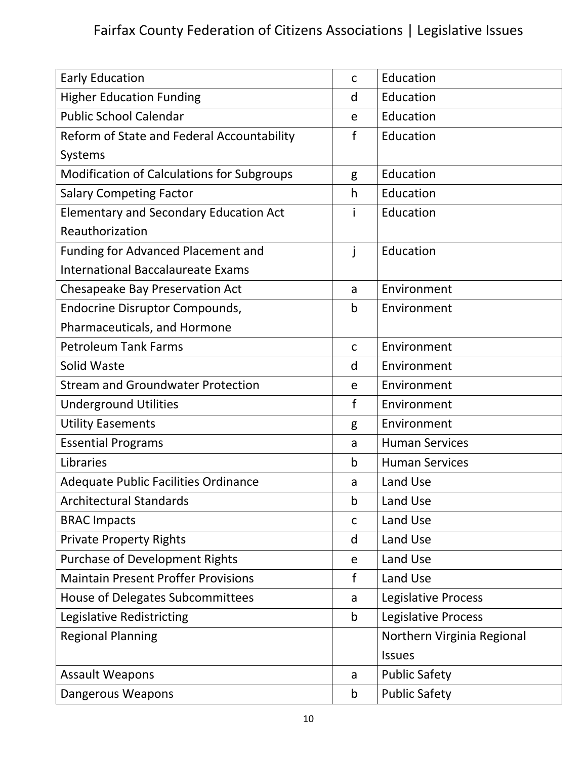| <b>Early Education</b>                            | C            | Education                  |
|---------------------------------------------------|--------------|----------------------------|
| <b>Higher Education Funding</b>                   | d            | Education                  |
| <b>Public School Calendar</b>                     | e            | Education                  |
| Reform of State and Federal Accountability        | f            | Education                  |
| Systems                                           |              |                            |
| <b>Modification of Calculations for Subgroups</b> | g            | Education                  |
| <b>Salary Competing Factor</b>                    | h            | Education                  |
| <b>Elementary and Secondary Education Act</b>     |              | Education                  |
| Reauthorization                                   |              |                            |
| <b>Funding for Advanced Placement and</b>         | j            | Education                  |
| <b>International Baccalaureate Exams</b>          |              |                            |
| Chesapeake Bay Preservation Act                   | a            | Environment                |
| <b>Endocrine Disruptor Compounds,</b>             | b            | Environment                |
| Pharmaceuticals, and Hormone                      |              |                            |
| <b>Petroleum Tank Farms</b>                       | $\mathsf{C}$ | Environment                |
| Solid Waste                                       | d            | Environment                |
| <b>Stream and Groundwater Protection</b>          | e            | Environment                |
| <b>Underground Utilities</b>                      | f            | Environment                |
| <b>Utility Easements</b>                          | g            | Environment                |
| <b>Essential Programs</b>                         | a            | <b>Human Services</b>      |
| Libraries                                         | b            | <b>Human Services</b>      |
| <b>Adequate Public Facilities Ordinance</b>       | a            | Land Use                   |
| <b>Architectural Standards</b>                    | b            | Land Use                   |
| <b>BRAC Impacts</b>                               | $\mathsf C$  | Land Use                   |
| <b>Private Property Rights</b>                    | d            | Land Use                   |
| <b>Purchase of Development Rights</b>             | e            | Land Use                   |
| <b>Maintain Present Proffer Provisions</b>        | f            | Land Use                   |
| House of Delegates Subcommittees                  | a            | Legislative Process        |
| Legislative Redistricting                         | b            | Legislative Process        |
| <b>Regional Planning</b>                          |              | Northern Virginia Regional |
|                                                   |              | <b>Issues</b>              |
| <b>Assault Weapons</b>                            | a            | <b>Public Safety</b>       |
| Dangerous Weapons                                 | b            | <b>Public Safety</b>       |